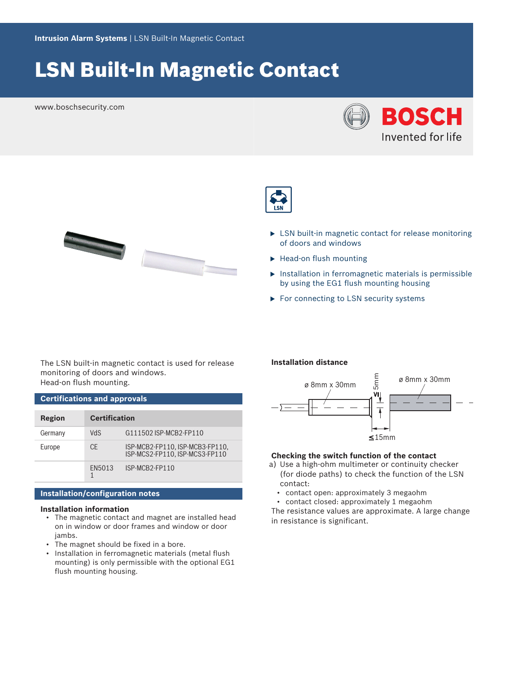# LSN Built-In Magnetic Contact

www.boschsecurity.com





- $\blacktriangleright$  LSN built-in magnetic contact for release monitoring of doors and windows
- $\blacktriangleright$  Head-on flush mounting
- $\triangleright$  Installation in ferromagnetic materials is permissible by using the EG1 flush mounting housing
- $\triangleright$  For connecting to LSN security systems

The LSN built-in magnetic contact is used for release monitoring of doors and windows. Head-on flush mounting.

| <b>Certifications and approvals</b> |                      |                                                                   |  |  |
|-------------------------------------|----------------------|-------------------------------------------------------------------|--|--|
| Region                              | <b>Certification</b> |                                                                   |  |  |
| Germany                             | <b>VdS</b>           | G111502 ISP-MCB2-FP110                                            |  |  |
| Europe                              | <b>CE</b>            | ISP-MCB2-FP110, ISP-MCB3-FP110,<br>ISP-MCS2-FP110. ISP-MCS3-FP110 |  |  |
|                                     | EN5013               | ISP-MCB2-FP110                                                    |  |  |

# **Installation/configuration notes**

# **Installation information**

- The magnetic contact and magnet are installed head on in window or door frames and window or door jambs.
- The magnet should be fixed in a bore.
- Installation in ferromagnetic materials (metal flush mounting) is only permissible with the optional EG1 flush mounting housing.

### **Installation distance**



# **Checking the switch function of the contact**

- a) Use a high-ohm multimeter or continuity checker (for diode paths) to check the function of the LSN contact:
	- contact open: approximately 3 megaohm
	- contact closed: approximately 1 megaohm

The resistance values are approximate. A large change in resistance is significant.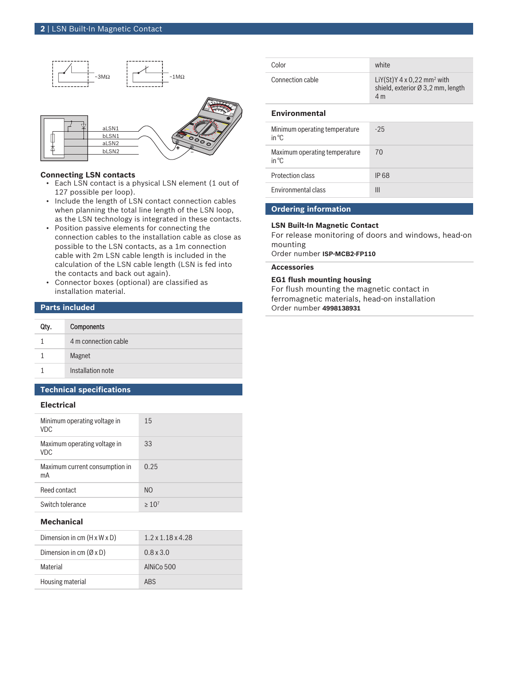

#### **Connecting LSN contacts**

- Each LSN contact is a physical LSN element (1 out of 127 possible per loop).
- Include the length of LSN contact connection cables when planning the total line length of the LSN loop, as the LSN technology is integrated in these contacts.
- Position passive elements for connecting the connection cables to the installation cable as close as possible to the LSN contacts, as a 1m connection cable with 2m LSN cable length is included in the calculation of the LSN cable length (LSN is fed into the contacts and back out again).
- Connector boxes (optional) are classified as installation material.

### **Parts included**

| Qty. | <b>Components</b>    |
|------|----------------------|
|      | 4 m connection cable |
|      | Magnet               |
|      | Installation note    |

# **Technical specifications**

# **Electrical**

| Minimum operating voltage in<br><b>VDC</b> | 15             |
|--------------------------------------------|----------------|
| Maximum operating voltage in<br><b>VDC</b> | 33             |
| Maximum current consumption in<br>mA       | 0.25           |
| Reed contact                               | N <sub>O</sub> |
| Switch tolerance                           | $>10^{7}$      |
| .                                          |                |

#### **Mechanical**

| Dimension in cm $(H \times W \times D)$ | $1.2 \times 1.18 \times 4.28$ |
|-----------------------------------------|-------------------------------|
| Dimension in cm $(\emptyset \times D)$  | $0.8 \times 3.0$              |
| Material                                | AIN $i$ Co 500                |
| Housing material                        | <b>ARS</b>                    |

| Color            | white                                                                                                 |
|------------------|-------------------------------------------------------------------------------------------------------|
| Connection cable | LiY(St)Y $4 \times 0.22$ mm <sup>2</sup> with<br>shield, exterior $\varnothing$ 3,2 mm, length<br>4 m |

#### **Environmental**

| Minimum operating temperature<br>in ${}^{\circ}C$ | $-25$       |
|---------------------------------------------------|-------------|
| Maximum operating temperature<br>in ${}^{\circ}C$ | 70          |
| Protection class                                  | <b>IP68</b> |
| <b>Environmental class</b>                        | Ш           |
|                                                   |             |

# **Ordering information**

### **LSN Built-In Magnetic Contact**

For release monitoring of doors and windows, head-on mounting

Order number **ISP-MCB2-FP110**

# **Accessories**

# **EG1 flush mounting housing**

For flush mounting the magnetic contact in ferromagnetic materials, head-on installation Order number **4998138931**